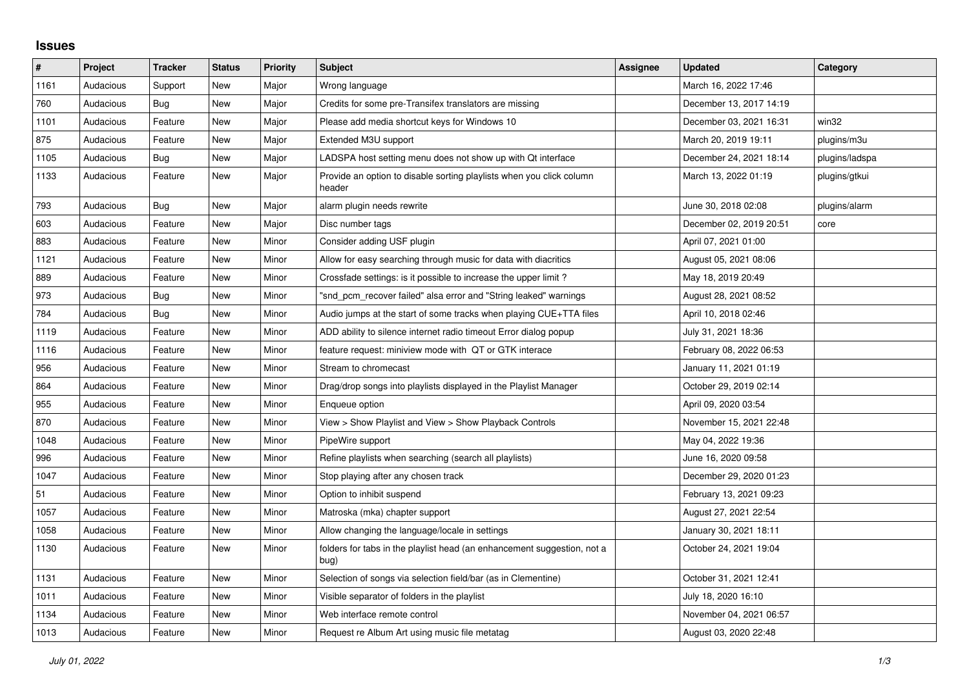## **Issues**

| $\vert$ # | Project   | <b>Tracker</b> | <b>Status</b> | <b>Priority</b> | <b>Subject</b>                                                                  | <b>Assignee</b> | <b>Updated</b>          | Category       |
|-----------|-----------|----------------|---------------|-----------------|---------------------------------------------------------------------------------|-----------------|-------------------------|----------------|
| 1161      | Audacious | Support        | New           | Major           | Wrong language                                                                  |                 | March 16, 2022 17:46    |                |
| 760       | Audacious | Bug            | <b>New</b>    | Major           | Credits for some pre-Transifex translators are missing                          |                 | December 13, 2017 14:19 |                |
| 1101      | Audacious | Feature        | New           | Major           | Please add media shortcut keys for Windows 10                                   |                 | December 03, 2021 16:31 | win32          |
| 875       | Audacious | Feature        | <b>New</b>    | Major           | Extended M3U support                                                            |                 | March 20, 2019 19:11    | plugins/m3u    |
| 1105      | Audacious | <b>Bug</b>     | <b>New</b>    | Major           | LADSPA host setting menu does not show up with Qt interface                     |                 | December 24, 2021 18:14 | plugins/ladspa |
| 1133      | Audacious | Feature        | <b>New</b>    | Major           | Provide an option to disable sorting playlists when you click column<br>header  |                 | March 13, 2022 01:19    | plugins/gtkui  |
| 793       | Audacious | <b>Bug</b>     | <b>New</b>    | Major           | alarm plugin needs rewrite                                                      |                 | June 30, 2018 02:08     | plugins/alarm  |
| 603       | Audacious | Feature        | New           | Major           | Disc number tags                                                                |                 | December 02, 2019 20:51 | core           |
| 883       | Audacious | Feature        | <b>New</b>    | Minor           | Consider adding USF plugin                                                      |                 | April 07, 2021 01:00    |                |
| 1121      | Audacious | Feature        | <b>New</b>    | Minor           | Allow for easy searching through music for data with diacritics                 |                 | August 05, 2021 08:06   |                |
| 889       | Audacious | Feature        | New           | Minor           | Crossfade settings: is it possible to increase the upper limit?                 |                 | May 18, 2019 20:49      |                |
| 973       | Audacious | Bug            | <b>New</b>    | Minor           | "snd pcm recover failed" alsa error and "String leaked" warnings                |                 | August 28, 2021 08:52   |                |
| 784       | Audacious | <b>Bug</b>     | <b>New</b>    | Minor           | Audio jumps at the start of some tracks when playing CUE+TTA files              |                 | April 10, 2018 02:46    |                |
| 1119      | Audacious | Feature        | New           | Minor           | ADD ability to silence internet radio timeout Error dialog popup                |                 | July 31, 2021 18:36     |                |
| 1116      | Audacious | Feature        | <b>New</b>    | Minor           | feature request: miniview mode with QT or GTK interace                          |                 | February 08, 2022 06:53 |                |
| 956       | Audacious | Feature        | <b>New</b>    | Minor           | Stream to chromecast                                                            |                 | January 11, 2021 01:19  |                |
| 864       | Audacious | Feature        | New           | Minor           | Drag/drop songs into playlists displayed in the Playlist Manager                |                 | October 29, 2019 02:14  |                |
| 955       | Audacious | Feature        | <b>New</b>    | Minor           | Enqueue option                                                                  |                 | April 09, 2020 03:54    |                |
| 870       | Audacious | Feature        | <b>New</b>    | Minor           | View > Show Playlist and View > Show Playback Controls                          |                 | November 15, 2021 22:48 |                |
| 1048      | Audacious | Feature        | New           | Minor           | PipeWire support                                                                |                 | May 04, 2022 19:36      |                |
| 996       | Audacious | Feature        | <b>New</b>    | Minor           | Refine playlists when searching (search all playlists)                          |                 | June 16, 2020 09:58     |                |
| 1047      | Audacious | Feature        | <b>New</b>    | Minor           | Stop playing after any chosen track                                             |                 | December 29, 2020 01:23 |                |
| 51        | Audacious | Feature        | New           | Minor           | Option to inhibit suspend                                                       |                 | February 13, 2021 09:23 |                |
| 1057      | Audacious | Feature        | <b>New</b>    | Minor           | Matroska (mka) chapter support                                                  |                 | August 27, 2021 22:54   |                |
| 1058      | Audacious | Feature        | <b>New</b>    | Minor           | Allow changing the language/locale in settings                                  |                 | January 30, 2021 18:11  |                |
| 1130      | Audacious | Feature        | New           | Minor           | folders for tabs in the playlist head (an enhancement suggestion, not a<br>bug) |                 | October 24, 2021 19:04  |                |
| 1131      | Audacious | Feature        | <b>New</b>    | Minor           | Selection of songs via selection field/bar (as in Clementine)                   |                 | October 31, 2021 12:41  |                |
| 1011      | Audacious | Feature        | New           | Minor           | Visible separator of folders in the playlist                                    |                 | July 18, 2020 16:10     |                |
| 1134      | Audacious | Feature        | New           | Minor           | Web interface remote control                                                    |                 | November 04, 2021 06:57 |                |
| 1013      | Audacious | Feature        | <b>New</b>    | Minor           | Request re Album Art using music file metatag                                   |                 | August 03, 2020 22:48   |                |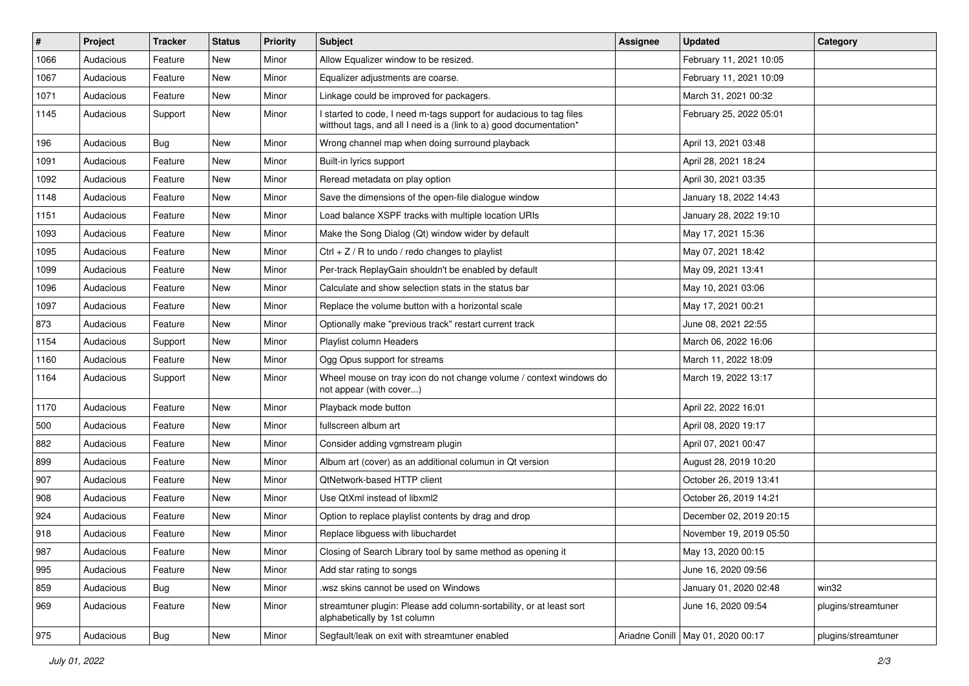| #    | Project   | <b>Tracker</b> | <b>Status</b> | <b>Priority</b> | Subject                                                                                                                                   | <b>Assignee</b> | <b>Updated</b>                      | Category            |
|------|-----------|----------------|---------------|-----------------|-------------------------------------------------------------------------------------------------------------------------------------------|-----------------|-------------------------------------|---------------------|
| 1066 | Audacious | Feature        | New           | Minor           | Allow Equalizer window to be resized.                                                                                                     |                 | February 11, 2021 10:05             |                     |
| 1067 | Audacious | Feature        | New           | Minor           | Equalizer adjustments are coarse.                                                                                                         |                 | February 11, 2021 10:09             |                     |
| 1071 | Audacious | Feature        | New           | Minor           | Linkage could be improved for packagers.                                                                                                  |                 | March 31, 2021 00:32                |                     |
| 1145 | Audacious | Support        | New           | Minor           | I started to code, I need m-tags support for audacious to tag files<br>witthout tags, and all I need is a (link to a) good documentation* |                 | February 25, 2022 05:01             |                     |
| 196  | Audacious | Bug            | New           | Minor           | Wrong channel map when doing surround playback                                                                                            |                 | April 13, 2021 03:48                |                     |
| 1091 | Audacious | Feature        | New           | Minor           | Built-in lyrics support                                                                                                                   |                 | April 28, 2021 18:24                |                     |
| 1092 | Audacious | Feature        | New           | Minor           | Reread metadata on play option                                                                                                            |                 | April 30, 2021 03:35                |                     |
| 1148 | Audacious | Feature        | New           | Minor           | Save the dimensions of the open-file dialogue window                                                                                      |                 | January 18, 2022 14:43              |                     |
| 1151 | Audacious | Feature        | New           | Minor           | Load balance XSPF tracks with multiple location URIs                                                                                      |                 | January 28, 2022 19:10              |                     |
| 1093 | Audacious | Feature        | New           | Minor           | Make the Song Dialog (Qt) window wider by default                                                                                         |                 | May 17, 2021 15:36                  |                     |
| 1095 | Audacious | Feature        | New           | Minor           | Ctrl + $Z$ / R to undo / redo changes to playlist                                                                                         |                 | May 07, 2021 18:42                  |                     |
| 1099 | Audacious | Feature        | New           | Minor           | Per-track ReplayGain shouldn't be enabled by default                                                                                      |                 | May 09, 2021 13:41                  |                     |
| 1096 | Audacious | Feature        | New           | Minor           | Calculate and show selection stats in the status bar                                                                                      |                 | May 10, 2021 03:06                  |                     |
| 1097 | Audacious | Feature        | New           | Minor           | Replace the volume button with a horizontal scale                                                                                         |                 | May 17, 2021 00:21                  |                     |
| 873  | Audacious | Feature        | New           | Minor           | Optionally make "previous track" restart current track                                                                                    |                 | June 08, 2021 22:55                 |                     |
| 1154 | Audacious | Support        | New           | Minor           | Playlist column Headers                                                                                                                   |                 | March 06, 2022 16:06                |                     |
| 1160 | Audacious | Feature        | New           | Minor           | Ogg Opus support for streams                                                                                                              |                 | March 11, 2022 18:09                |                     |
| 1164 | Audacious | Support        | New           | Minor           | Wheel mouse on tray icon do not change volume / context windows do<br>not appear (with cover)                                             |                 | March 19, 2022 13:17                |                     |
| 1170 | Audacious | Feature        | New           | Minor           | Playback mode button                                                                                                                      |                 | April 22, 2022 16:01                |                     |
| 500  | Audacious | Feature        | New           | Minor           | fullscreen album art                                                                                                                      |                 | April 08, 2020 19:17                |                     |
| 882  | Audacious | Feature        | New           | Minor           | Consider adding vgmstream plugin                                                                                                          |                 | April 07, 2021 00:47                |                     |
| 899  | Audacious | Feature        | New           | Minor           | Album art (cover) as an additional columun in Qt version                                                                                  |                 | August 28, 2019 10:20               |                     |
| 907  | Audacious | Feature        | New           | Minor           | QtNetwork-based HTTP client                                                                                                               |                 | October 26, 2019 13:41              |                     |
| 908  | Audacious | Feature        | New           | Minor           | Use QtXml instead of libxml2                                                                                                              |                 | October 26, 2019 14:21              |                     |
| 924  | Audacious | Feature        | New           | Minor           | Option to replace playlist contents by drag and drop                                                                                      |                 | December 02, 2019 20:15             |                     |
| 918  | Audacious | Feature        | New           | Minor           | Replace libguess with libuchardet                                                                                                         |                 | November 19, 2019 05:50             |                     |
| 987  | Audacious | Feature        | New           | Minor           | Closing of Search Library tool by same method as opening it                                                                               |                 | May 13, 2020 00:15                  |                     |
| 995  | Audacious | Feature        | New           | Minor           | Add star rating to songs                                                                                                                  |                 | June 16, 2020 09:56                 |                     |
| 859  | Audacious | Bug            | New           | Minor           | wsz skins cannot be used on Windows                                                                                                       |                 | January 01, 2020 02:48              | win32               |
| 969  | Audacious | Feature        | New           | Minor           | streamtuner plugin: Please add column-sortability, or at least sort<br>alphabetically by 1st column                                       |                 | June 16, 2020 09:54                 | plugins/streamtuner |
| 975  | Audacious | Bug            | New           | Minor           | Segfault/leak on exit with streamtuner enabled                                                                                            |                 | Ariadne Conill   May 01, 2020 00:17 | plugins/streamtuner |